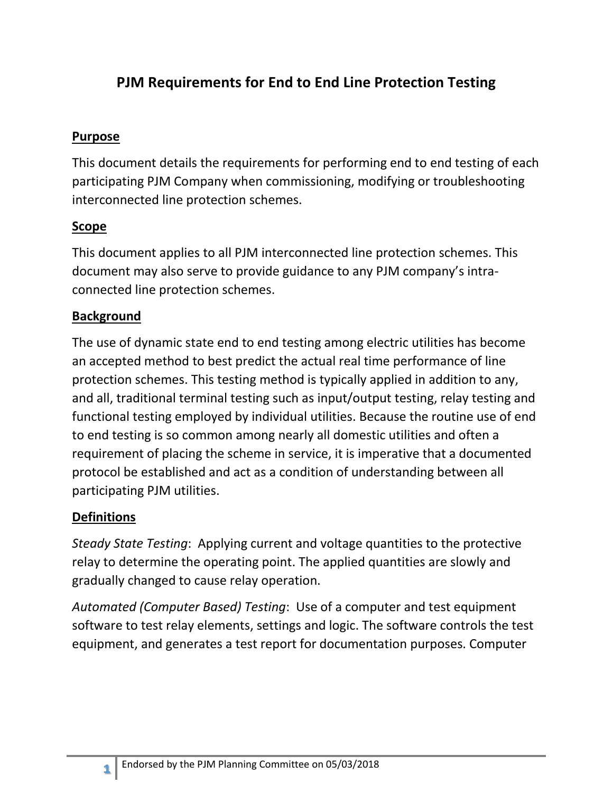# **PJM Requirements for End to End Line Protection Testing**

#### **Purpose**

This document details the requirements for performing end to end testing of each participating PJM Company when commissioning, modifying or troubleshooting interconnected line protection schemes.

#### **Scope**

This document applies to all PJM interconnected line protection schemes. This document may also serve to provide guidance to any PJM company's intraconnected line protection schemes.

## **Background**

The use of dynamic state end to end testing among electric utilities has become an accepted method to best predict the actual real time performance of line protection schemes. This testing method is typically applied in addition to any, and all, traditional terminal testing such as input/output testing, relay testing and functional testing employed by individual utilities. Because the routine use of end to end testing is so common among nearly all domestic utilities and often a requirement of placing the scheme in service, it is imperative that a documented protocol be established and act as a condition of understanding between all participating PJM utilities.

## **Definitions**

**1**

*Steady State Testing*: Applying current and voltage quantities to the protective relay to determine the operating point. The applied quantities are slowly and gradually changed to cause relay operation.

*Automated (Computer Based) Testing*: Use of a computer and test equipment software to test relay elements, settings and logic. The software controls the test equipment, and generates a test report for documentation purposes. Computer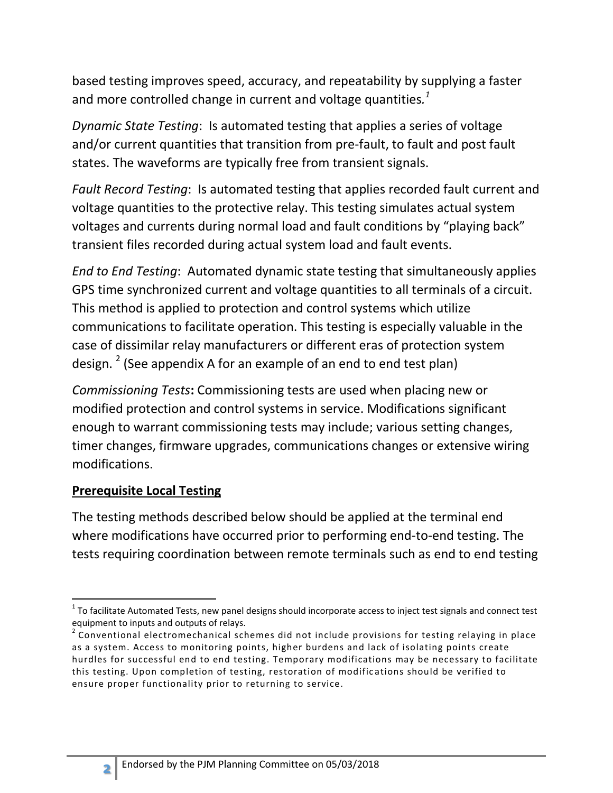based testing improves speed, accuracy, and repeatability by supplying a faster and more controlled change in current and voltage quantities*. 1*

*Dynamic State Testing*: Is automated testing that applies a series of voltage and/or current quantities that transition from pre-fault, to fault and post fault states. The waveforms are typically free from transient signals.

*Fault Record Testing*: Is automated testing that applies recorded fault current and voltage quantities to the protective relay. This testing simulates actual system voltages and currents during normal load and fault conditions by "playing back" transient files recorded during actual system load and fault events.

*End to End Testing*: Automated dynamic state testing that simultaneously applies GPS time synchronized current and voltage quantities to all terminals of a circuit. This method is applied to protection and control systems which utilize communications to facilitate operation. This testing is especially valuable in the case of dissimilar relay manufacturers or different eras of protection system design. <sup>2</sup> (See appendix A for an example of an end to end test plan)

*Commissioning Tests***:** Commissioning tests are used when placing new or modified protection and control systems in service. Modifications significant enough to warrant commissioning tests may include; various setting changes, timer changes, firmware upgrades, communications changes or extensive wiring modifications.

## **Prerequisite Local Testing**

The testing methods described below should be applied at the terminal end where modifications have occurred prior to performing end-to-end testing. The tests requiring coordination between remote terminals such as end to end testing



 $\overline{\phantom{a}}$  $1$  To facilitate Automated Tests, new panel designs should incorporate access to inject test signals and connect test equipment to inputs and outputs of relays.

 $2$  Conventional electromechanical schemes did not include provisions for testing relaying in place as a system. Access to monitoring points, higher burdens and lack of isolating points create hurdles for successful end to end testing. Temporary modifications may be necessary to facilitate this testing. Upon completion of testing, restoration of modifications should be verified to ensure proper functionality prior to returning to service.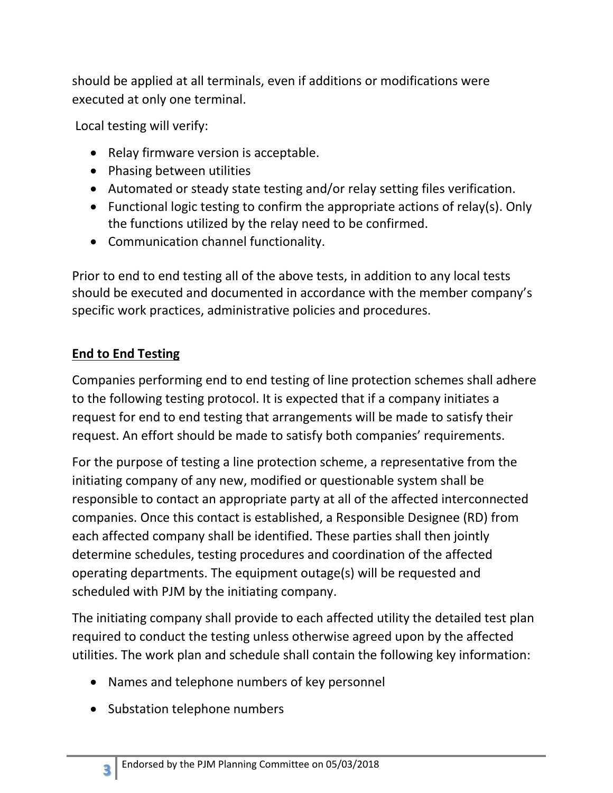should be applied at all terminals, even if additions or modifications were executed at only one terminal.

Local testing will verify:

- Relay firmware version is acceptable.
- Phasing between utilities
- Automated or steady state testing and/or relay setting files verification.
- Functional logic testing to confirm the appropriate actions of relay(s). Only the functions utilized by the relay need to be confirmed.
- Communication channel functionality.

Prior to end to end testing all of the above tests, in addition to any local tests should be executed and documented in accordance with the member company's specific work practices, administrative policies and procedures.

## **End to End Testing**

Companies performing end to end testing of line protection schemes shall adhere to the following testing protocol. It is expected that if a company initiates a request for end to end testing that arrangements will be made to satisfy their request. An effort should be made to satisfy both companies' requirements.

For the purpose of testing a line protection scheme, a representative from the initiating company of any new, modified or questionable system shall be responsible to contact an appropriate party at all of the affected interconnected companies. Once this contact is established, a Responsible Designee (RD) from each affected company shall be identified. These parties shall then jointly determine schedules, testing procedures and coordination of the affected operating departments. The equipment outage(s) will be requested and scheduled with PJM by the initiating company.

The initiating company shall provide to each affected utility the detailed test plan required to conduct the testing unless otherwise agreed upon by the affected utilities. The work plan and schedule shall contain the following key information:

- Names and telephone numbers of key personnel
- Substation telephone numbers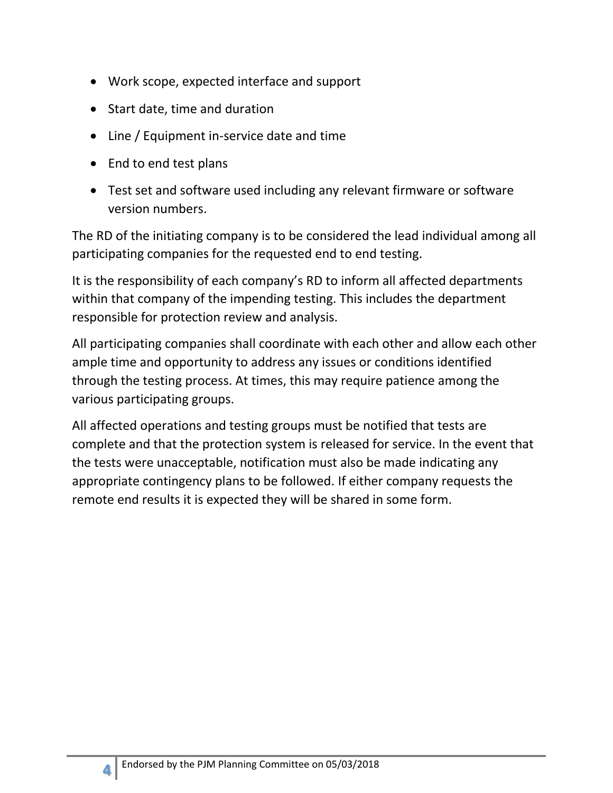- Work scope, expected interface and support
- Start date, time and duration
- Line / Equipment in-service date and time
- End to end test plans
- Test set and software used including any relevant firmware or software version numbers.

The RD of the initiating company is to be considered the lead individual among all participating companies for the requested end to end testing.

It is the responsibility of each company's RD to inform all affected departments within that company of the impending testing. This includes the department responsible for protection review and analysis.

All participating companies shall coordinate with each other and allow each other ample time and opportunity to address any issues or conditions identified through the testing process. At times, this may require patience among the various participating groups.

All affected operations and testing groups must be notified that tests are complete and that the protection system is released for service. In the event that the tests were unacceptable, notification must also be made indicating any appropriate contingency plans to be followed. If either company requests the remote end results it is expected they will be shared in some form.

**4**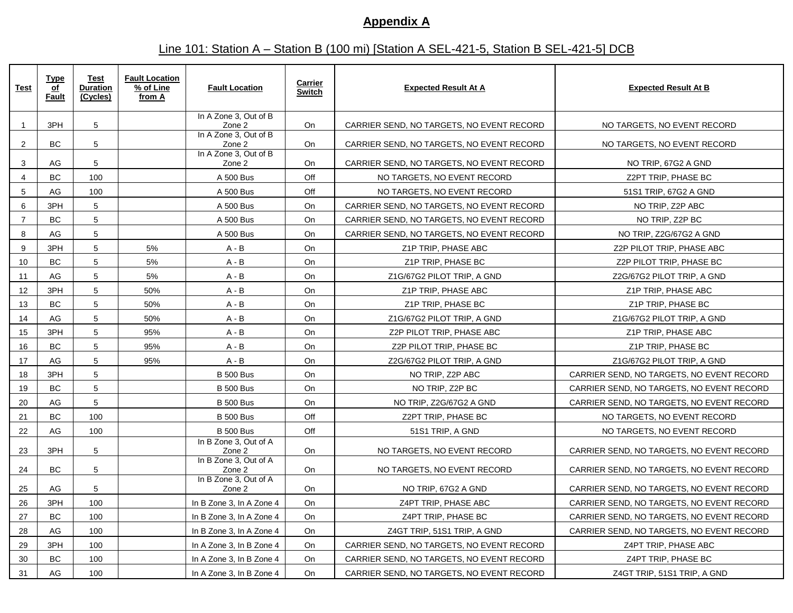#### **Appendix A**

## Line 101: Station A – Station B (100 mi) [Station A SEL-421-5, Station B SEL-421-5] DCB

| <u>Test</u>    | <b>Type</b><br>of<br>Fault | Test<br><b>Duration</b><br>(Cycles) | <b>Fault Location</b><br>% of Line<br>from A | <b>Fault Location</b>           | <b>Carrier</b><br><b>Switch</b> | <b>Expected Result At A</b>               | <b>Expected Result At B</b>               |
|----------------|----------------------------|-------------------------------------|----------------------------------------------|---------------------------------|---------------------------------|-------------------------------------------|-------------------------------------------|
| $\mathbf{1}$   | 3PH                        | 5                                   |                                              | In A Zone 3, Out of B<br>Zone 2 | <b>On</b>                       | CARRIER SEND, NO TARGETS, NO EVENT RECORD | NO TARGETS, NO EVENT RECORD               |
| $\overline{2}$ | <b>BC</b>                  | 5                                   |                                              | In A Zone 3, Out of B<br>Zone 2 | <b>On</b>                       | CARRIER SEND, NO TARGETS, NO EVENT RECORD | NO TARGETS, NO EVENT RECORD               |
| 3              | AG                         | 5                                   |                                              | In A Zone 3, Out of B<br>Zone 2 | <b>On</b>                       | CARRIER SEND. NO TARGETS. NO EVENT RECORD | NO TRIP, 67G2 A GND                       |
| $\overline{4}$ | <b>BC</b>                  | 100                                 |                                              | A 500 Bus                       | Off                             | NO TARGETS. NO EVENT RECORD               | Z2PT TRIP. PHASE BC                       |
| 5              | AG                         | 100                                 |                                              | A 500 Bus                       | Off                             | NO TARGETS, NO EVENT RECORD               | 51S1 TRIP, 67G2 A GND                     |
| 6              | 3PH                        | 5                                   |                                              | A 500 Bus                       | On                              | CARRIER SEND, NO TARGETS, NO EVENT RECORD | NO TRIP, Z2P ABC                          |
| $\overline{7}$ | <b>BC</b>                  | 5                                   |                                              | A 500 Bus                       | <b>On</b>                       | CARRIER SEND, NO TARGETS, NO EVENT RECORD | NO TRIP, Z2P BC                           |
| 8              | AG                         | 5                                   |                                              | A 500 Bus                       | <b>On</b>                       | CARRIER SEND, NO TARGETS, NO EVENT RECORD | NO TRIP, Z2G/67G2 A GND                   |
| 9              | 3PH                        | 5                                   | 5%                                           | $A - B$                         | <b>On</b>                       | Z1P TRIP, PHASE ABC                       | Z2P PILOT TRIP, PHASE ABC                 |
| 10             | <b>BC</b>                  | 5                                   | 5%                                           | $A - B$                         | <b>On</b>                       | Z1P TRIP, PHASE BC                        | Z2P PILOT TRIP, PHASE BC                  |
| 11             | AG                         | 5                                   | 5%                                           | $A - B$                         | <b>On</b>                       | Z1G/67G2 PILOT TRIP, A GND                | Z2G/67G2 PILOT TRIP, A GND                |
| 12             | 3PH                        | 5                                   | 50%                                          | $A - B$                         | On                              | Z1P TRIP, PHASE ABC                       | Z1P TRIP, PHASE ABC                       |
| 13             | BC                         | 5                                   | 50%                                          | $A - B$                         | On                              | Z1P TRIP, PHASE BC                        | Z1P TRIP, PHASE BC                        |
| 14             | AG                         | 5                                   | 50%                                          | $A - B$                         | On                              | Z1G/67G2 PILOT TRIP, A GND                | Z1G/67G2 PILOT TRIP, A GND                |
| 15             | 3PH                        | 5                                   | 95%                                          | $A - B$                         | <b>On</b>                       | Z2P PILOT TRIP, PHASE ABC                 | Z1P TRIP, PHASE ABC                       |
| 16             | <b>BC</b>                  | 5                                   | 95%                                          | $A - B$                         | <b>On</b>                       | Z2P PILOT TRIP, PHASE BC                  | Z1P TRIP, PHASE BC                        |
| 17             | AG                         | 5                                   | 95%                                          | $A - B$                         | <b>On</b>                       | Z2G/67G2 PILOT TRIP, A GND                | Z1G/67G2 PILOT TRIP, A GND                |
| 18             | 3PH                        | 5                                   |                                              | <b>B</b> 500 Bus                | On                              | NO TRIP, Z2P ABC                          | CARRIER SEND, NO TARGETS, NO EVENT RECORD |
| 19             | <b>BC</b>                  | 5                                   |                                              | <b>B</b> 500 Bus                | <b>On</b>                       | NO TRIP, Z2P BC                           | CARRIER SEND, NO TARGETS, NO EVENT RECORD |
| 20             | AG                         | 5                                   |                                              | <b>B</b> 500 Bus                | <b>On</b>                       | NO TRIP, Z2G/67G2 A GND                   | CARRIER SEND, NO TARGETS, NO EVENT RECORD |
| 21             | <b>BC</b>                  | 100                                 |                                              | <b>B 500 Bus</b>                | Off                             | Z2PT TRIP, PHASE BC                       | NO TARGETS, NO EVENT RECORD               |
| 22             | AG                         | 100                                 |                                              | <b>B</b> 500 Bus                | Off                             | 51S1 TRIP, A GND                          | NO TARGETS, NO EVENT RECORD               |
| 23             | 3PH                        | 5                                   |                                              | In B Zone 3, Out of A<br>Zone 2 | <b>On</b>                       | NO TARGETS, NO EVENT RECORD               | CARRIER SEND, NO TARGETS, NO EVENT RECORD |
| 24             | <b>BC</b>                  | 5                                   |                                              | In B Zone 3, Out of A<br>Zone 2 | <b>On</b>                       | NO TARGETS, NO EVENT RECORD               | CARRIER SEND, NO TARGETS, NO EVENT RECORD |
| 25             | AG                         | 5                                   |                                              | In B Zone 3, Out of A<br>Zone 2 | On                              | NO TRIP, 67G2 A GND                       | CARRIER SEND, NO TARGETS, NO EVENT RECORD |
| 26             | 3PH                        | 100                                 |                                              | In B Zone 3, In A Zone 4        | On                              | Z4PT TRIP, PHASE ABC                      | CARRIER SEND, NO TARGETS, NO EVENT RECORD |
| 27             | <b>BC</b>                  | 100                                 |                                              | In B Zone 3, In A Zone 4        | <b>On</b>                       | Z4PT TRIP, PHASE BC                       | CARRIER SEND, NO TARGETS, NO EVENT RECORD |
| 28             | AG                         | 100                                 |                                              | In B Zone 3, In A Zone 4        | On                              | Z4GT TRIP, 51S1 TRIP, A GND               | CARRIER SEND, NO TARGETS, NO EVENT RECORD |
| 29             | 3PH                        | 100                                 |                                              | In A Zone 3, In B Zone 4        | <b>On</b>                       | CARRIER SEND, NO TARGETS, NO EVENT RECORD | Z4PT TRIP, PHASE ABC                      |
| 30             | <b>BC</b>                  | 100                                 |                                              | In A Zone 3, In B Zone 4        | <b>On</b>                       | CARRIER SEND, NO TARGETS, NO EVENT RECORD | Z4PT TRIP, PHASE BC                       |
| 31             | AG                         | 100                                 |                                              | In A Zone 3, In B Zone 4        | <b>On</b>                       | CARRIER SEND, NO TARGETS, NO EVENT RECORD | Z4GT TRIP, 51S1 TRIP, A GND               |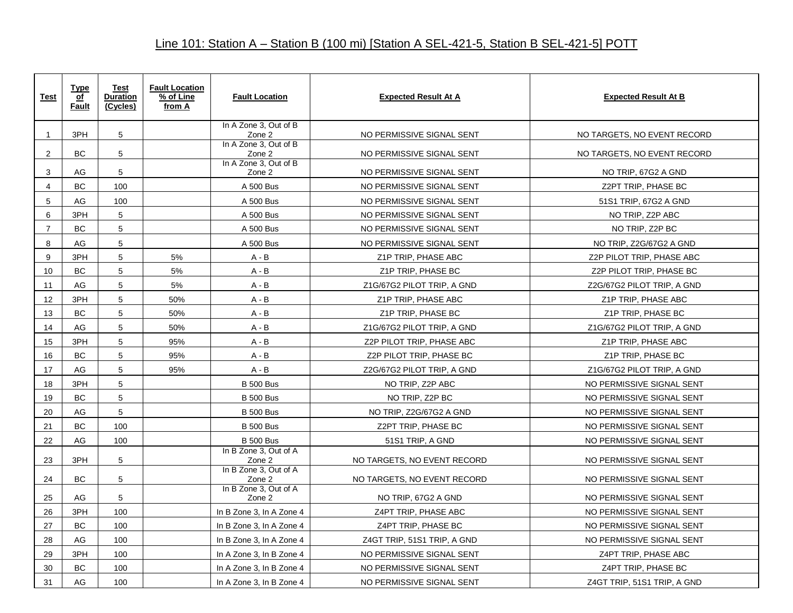| <b>Test</b>    | <b>Type</b><br>of<br><b>Fault</b> | <b>Test</b><br><b>Duration</b><br>(Cycles) | <b>Fault Location</b><br>% of Line<br>from A | <b>Fault Location</b>           | <b>Expected Result At A</b> | <b>Expected Result At B</b> |
|----------------|-----------------------------------|--------------------------------------------|----------------------------------------------|---------------------------------|-----------------------------|-----------------------------|
| $\mathbf{1}$   | 3PH                               | 5                                          |                                              | In A Zone 3, Out of B<br>Zone 2 | NO PERMISSIVE SIGNAL SENT   | NO TARGETS, NO EVENT RECORD |
| 2              | BC                                | 5                                          |                                              | In A Zone 3, Out of B<br>Zone 2 | NO PERMISSIVE SIGNAL SENT   | NO TARGETS, NO EVENT RECORD |
| 3              | AG                                | 5                                          |                                              | In A Zone 3, Out of B<br>Zone 2 | NO PERMISSIVE SIGNAL SENT   | NO TRIP, 67G2 A GND         |
| 4              | <b>BC</b>                         | 100                                        |                                              | A 500 Bus                       | NO PERMISSIVE SIGNAL SENT   | Z2PT TRIP, PHASE BC         |
| 5              | AG                                | 100                                        |                                              | A 500 Bus                       | NO PERMISSIVE SIGNAL SENT   | 51S1 TRIP, 67G2 A GND       |
| 6              | 3PH                               | $\sqrt{5}$                                 |                                              | A 500 Bus                       | NO PERMISSIVE SIGNAL SENT   | NO TRIP, Z2P ABC            |
| $\overline{7}$ | <b>BC</b>                         | $5\phantom{.0}$                            |                                              | A 500 Bus                       | NO PERMISSIVE SIGNAL SENT   | NO TRIP, Z2P BC             |
| 8              | AG                                | 5                                          |                                              | A 500 Bus                       | NO PERMISSIVE SIGNAL SENT   | NO TRIP, Z2G/67G2 A GND     |
| 9              | 3PH                               | 5                                          | 5%                                           | $A - B$                         | Z1P TRIP, PHASE ABC         | Z2P PILOT TRIP, PHASE ABC   |
| 10             | <b>BC</b>                         | 5                                          | 5%                                           | $A - B$                         | Z1P TRIP, PHASE BC          | Z2P PILOT TRIP, PHASE BC    |
| 11             | AG                                | $5\phantom{.0}$                            | 5%                                           | $A - B$                         | Z1G/67G2 PILOT TRIP, A GND  | Z2G/67G2 PILOT TRIP, A GND  |
| 12             | 3PH                               | $5\phantom{.0}$                            | 50%                                          | $A - B$                         | Z1P TRIP, PHASE ABC         | Z1P TRIP, PHASE ABC         |
| 13             | BC                                | $5\phantom{.0}$                            | 50%                                          | $A - B$                         | Z1P TRIP, PHASE BC          | Z1P TRIP, PHASE BC          |
| 14             | AG                                | 5                                          | 50%                                          | $A - B$                         | Z1G/67G2 PILOT TRIP, A GND  | Z1G/67G2 PILOT TRIP, A GND  |
| 15             | 3PH                               | 5                                          | 95%                                          | $A - B$                         | Z2P PILOT TRIP, PHASE ABC   | Z1P TRIP, PHASE ABC         |
| 16             | BC                                | $\sqrt{5}$                                 | 95%                                          | $A - B$                         | Z2P PILOT TRIP, PHASE BC    | Z1P TRIP, PHASE BC          |
| 17             | AG                                | 5                                          | 95%                                          | $A - B$                         | Z2G/67G2 PILOT TRIP, A GND  | Z1G/67G2 PILOT TRIP, A GND  |
| 18             | 3PH                               | 5                                          |                                              | <b>B</b> 500 Bus                | NO TRIP, Z2P ABC            | NO PERMISSIVE SIGNAL SENT   |
| 19             | <b>BC</b>                         | 5                                          |                                              | <b>B</b> 500 Bus                | NO TRIP, Z2P BC             | NO PERMISSIVE SIGNAL SENT   |
| 20             | AG                                | 5                                          |                                              | <b>B</b> 500 Bus                | NO TRIP, Z2G/67G2 A GND     | NO PERMISSIVE SIGNAL SENT   |
| 21             | <b>BC</b>                         | 100                                        |                                              | <b>B</b> 500 Bus                | Z2PT TRIP, PHASE BC         | NO PERMISSIVE SIGNAL SENT   |
| 22             | AG                                | 100                                        |                                              | <b>B</b> 500 Bus                | 51S1 TRIP, A GND            | NO PERMISSIVE SIGNAL SENT   |
| 23             | 3PH                               | 5                                          |                                              | In B Zone 3, Out of A<br>Zone 2 | NO TARGETS, NO EVENT RECORD | NO PERMISSIVE SIGNAL SENT   |
| 24             | <b>BC</b>                         | 5                                          |                                              | In B Zone 3, Out of A<br>Zone 2 | NO TARGETS, NO EVENT RECORD | NO PERMISSIVE SIGNAL SENT   |
| 25             | AG                                | 5                                          |                                              | In B Zone 3, Out of A<br>Zone 2 | NO TRIP, 67G2 A GND         | NO PERMISSIVE SIGNAL SENT   |
| 26             | 3PH                               | 100                                        |                                              | In B Zone 3, In A Zone 4        | Z4PT TRIP, PHASE ABC        | NO PERMISSIVE SIGNAL SENT   |
| 27             | <b>BC</b>                         | 100                                        |                                              | In B Zone 3, In A Zone 4        | Z4PT TRIP, PHASE BC         | NO PERMISSIVE SIGNAL SENT   |
| 28             | AG                                | 100                                        |                                              | In B Zone 3, In A Zone 4        | Z4GT TRIP, 51S1 TRIP, A GND | NO PERMISSIVE SIGNAL SENT   |
| 29             | 3PH                               | 100                                        |                                              | In A Zone 3, In B Zone 4        | NO PERMISSIVE SIGNAL SENT   | Z4PT TRIP, PHASE ABC        |
| 30             | BC                                | 100                                        |                                              | In A Zone 3, In B Zone 4        | NO PERMISSIVE SIGNAL SENT   | Z4PT TRIP, PHASE BC         |
| 31             | AG                                | 100                                        |                                              | In A Zone 3, In B Zone 4        | NO PERMISSIVE SIGNAL SENT   | Z4GT TRIP, 51S1 TRIP, A GND |